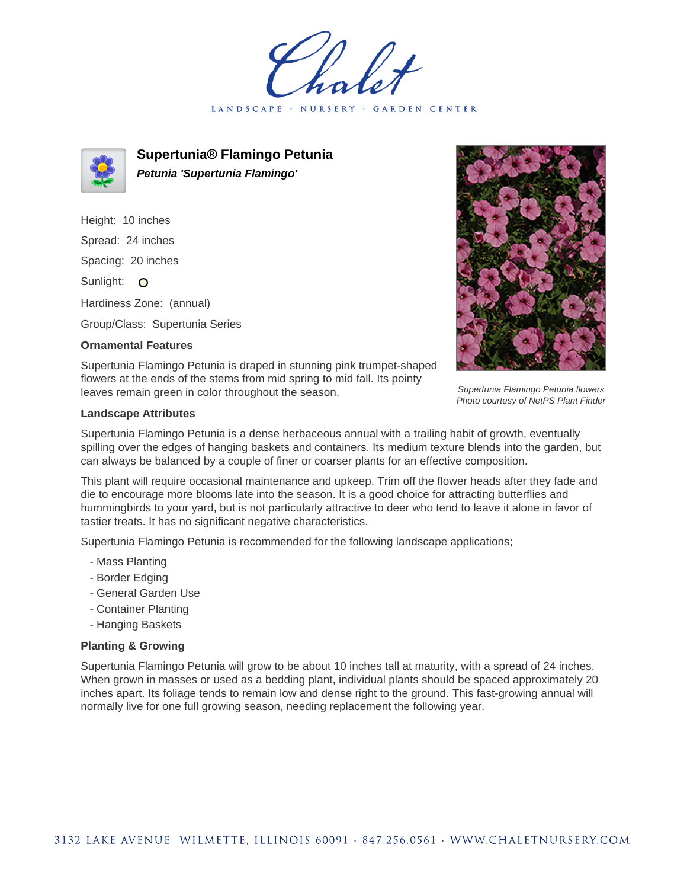LANDSCAPE · GARDEN CENTER



**Supertunia® Flamingo Petunia Petunia 'Supertunia Flamingo'**

Height: 10 inches Spread: 24 inches Spacing: 20 inches Sunlight: O Hardiness Zone: (annual)

Group/Class: Supertunia Series

## **Ornamental Features**



Supertunia Flamingo Petunia flowers Photo courtesy of NetPS Plant Finder

Supertunia Flamingo Petunia is draped in stunning pink trumpet-shaped flowers at the ends of the stems from mid spring to mid fall. Its pointy leaves remain green in color throughout the season.

## **Landscape Attributes**

Supertunia Flamingo Petunia is a dense herbaceous annual with a trailing habit of growth, eventually spilling over the edges of hanging baskets and containers. Its medium texture blends into the garden, but can always be balanced by a couple of finer or coarser plants for an effective composition.

This plant will require occasional maintenance and upkeep. Trim off the flower heads after they fade and die to encourage more blooms late into the season. It is a good choice for attracting butterflies and hummingbirds to your yard, but is not particularly attractive to deer who tend to leave it alone in favor of tastier treats. It has no significant negative characteristics.

Supertunia Flamingo Petunia is recommended for the following landscape applications;

- Mass Planting
- Border Edging
- General Garden Use
- Container Planting
- Hanging Baskets

## **Planting & Growing**

Supertunia Flamingo Petunia will grow to be about 10 inches tall at maturity, with a spread of 24 inches. When grown in masses or used as a bedding plant, individual plants should be spaced approximately 20 inches apart. Its foliage tends to remain low and dense right to the ground. This fast-growing annual will normally live for one full growing season, needing replacement the following year.